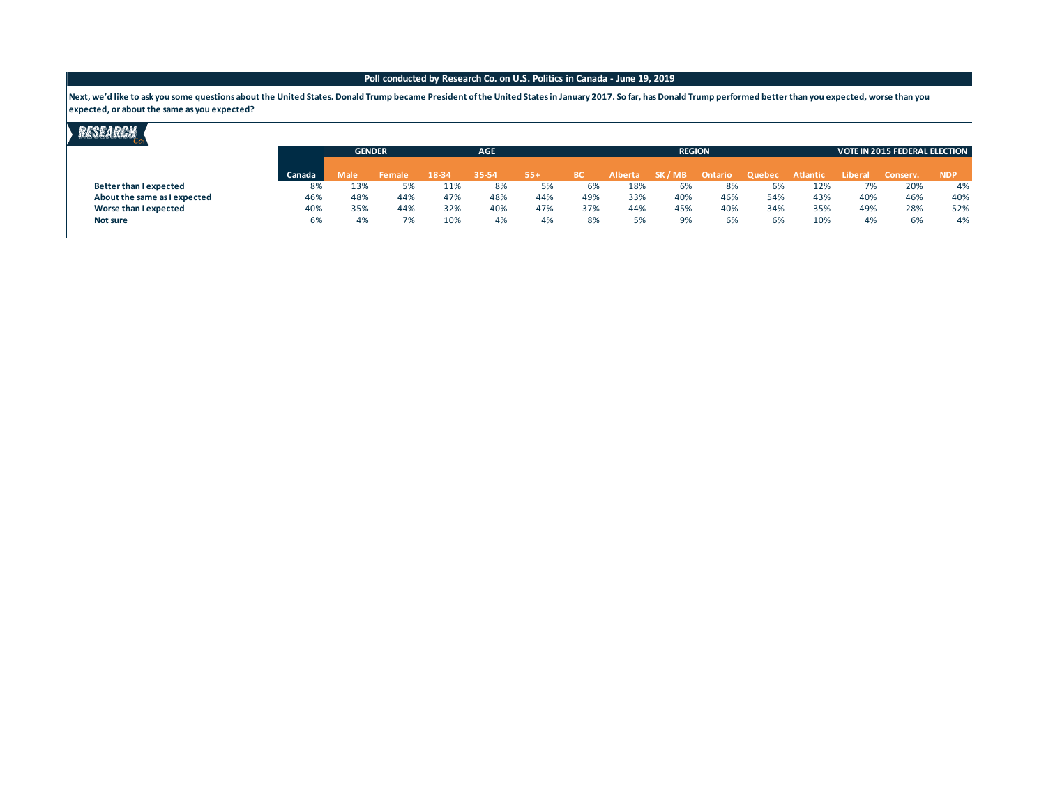Next, we'd like to ask you some questions about the United States. Donald Trump became President of the United States in January 2017. So far, has Donald Trump performed better than you expected, worse than you **expected, or about the same as you expected?**

|                              |        | <b>GENDER</b> |        |       | <b>AGE</b> |       |           |                | <b>REGION</b> |         | <b>VOTE IN 2015 FEDERAL ELECTION</b> |                 |         |          |            |
|------------------------------|--------|---------------|--------|-------|------------|-------|-----------|----------------|---------------|---------|--------------------------------------|-----------------|---------|----------|------------|
|                              | Canada | Male          | Female | 18-34 | 35-54      | $55+$ | <b>BC</b> | <b>Alberta</b> | SK / MB       | Ontario | Quebec                               | <b>Atlantic</b> | Liberal | Conserv. | <b>NDP</b> |
| Better than I expected       | 8%     | 13%           | 5%     | 11%   | 8%         | 5%    | 6%        | 18%            | 6%            | 8%      | 6%                                   | 12%             | 7%      | 20%      | 4%         |
| About the same as I expected | 46%    | 48%           | 44%    | 47%   | 48%        | 44%   | 49%       | 33%            | 40%           | 46%     | 54%                                  | 43%             | 40%     | 46%      | 40%        |
| Worse than I expected        | 40%    | 35%           | 44%    | 32%   | 40%        | 47%   | 37%       | 44%            | 45%           | 40%     | 34%                                  | 35%             | 49%     | 28%      | 52%        |
| Not sure                     | 6%     | 4%            |        | 10%   | 4%         | 4%    | 8%        |                | 9%            | 6%      | 6%                                   | 10%             | 4%      | 6%       | 4%         |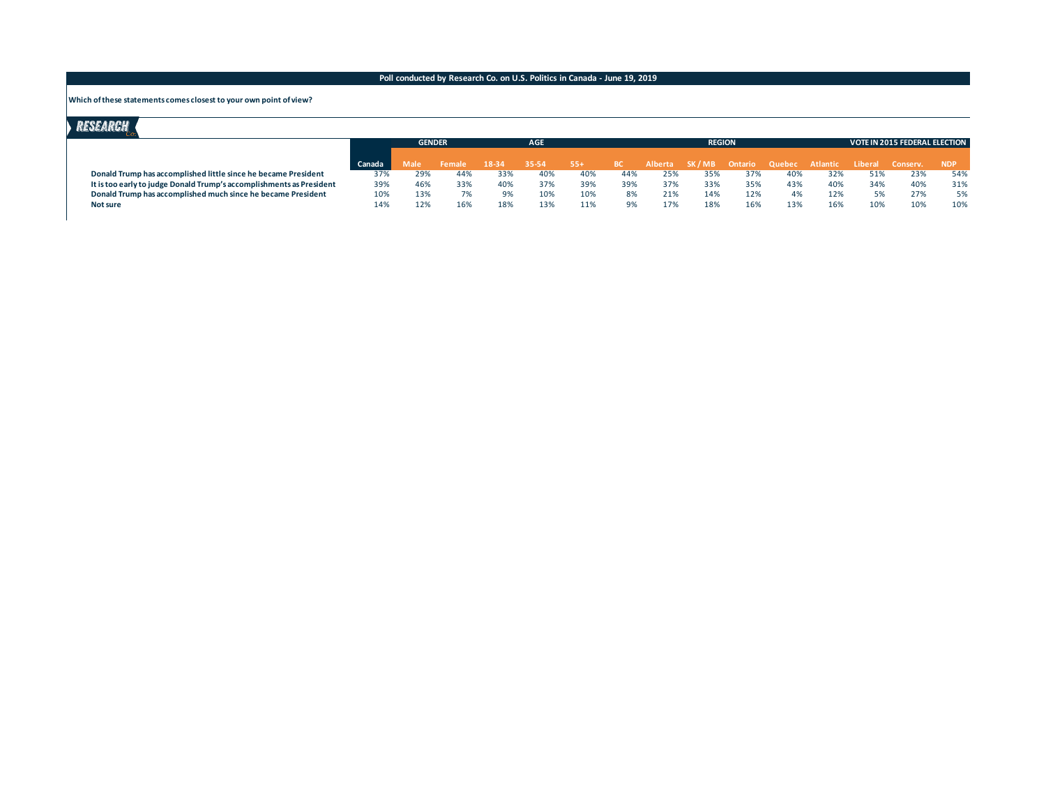#### **Which of these statements comes closest to your own point of view?**

|                                                                      |        | <b>GENDER</b> |               |           | <b>AGE</b> |        |     |         | <b>REGION</b>                 |     |     |     |                  |     | <b>VOTE IN 2015 FEDERAL ELECTION</b> |  |  |  |
|----------------------------------------------------------------------|--------|---------------|---------------|-----------|------------|--------|-----|---------|-------------------------------|-----|-----|-----|------------------|-----|--------------------------------------|--|--|--|
|                                                                      | Canada | Male          | <b>Female</b> | $18 - 34$ | 35-54      | $-55+$ | -BC | Alberta | SK/MB Ontario Quebec Atlantic |     |     |     | Liberal Conserv. |     | <b>NDP</b>                           |  |  |  |
| Donald Trump has accomplished little since he became President       | 37%    | 29%           | 44%           | 33%       | 40%        | 40%    | 44% | 25%     | 35%                           | 37% | 40% | 32% |                  | 23% | 54%                                  |  |  |  |
| It is too early to judge Donald Trump's accomplishments as President | 39%    | 46%           | 33%           | 40%       | 37%        | 39%    | 39% | 37%     | 33%                           | 35% | 43% | 40% | 34%              | 40% | 31%                                  |  |  |  |
| Donald Trump has accomplished much since he became President         | 10%    | 13%           | 7%            | 9%        | 10%        | 10%    | 8%  | 21%     | 14%                           | 12% | 4%  | 12% |                  | 27% | 5%                                   |  |  |  |
| Not sure                                                             | 14%    | 12%           | 16%           | 18%       | 13%        |        | 9%  | 17%     | 18%                           | 16% | 13% | 16% | 10%              | 10% | 10%                                  |  |  |  |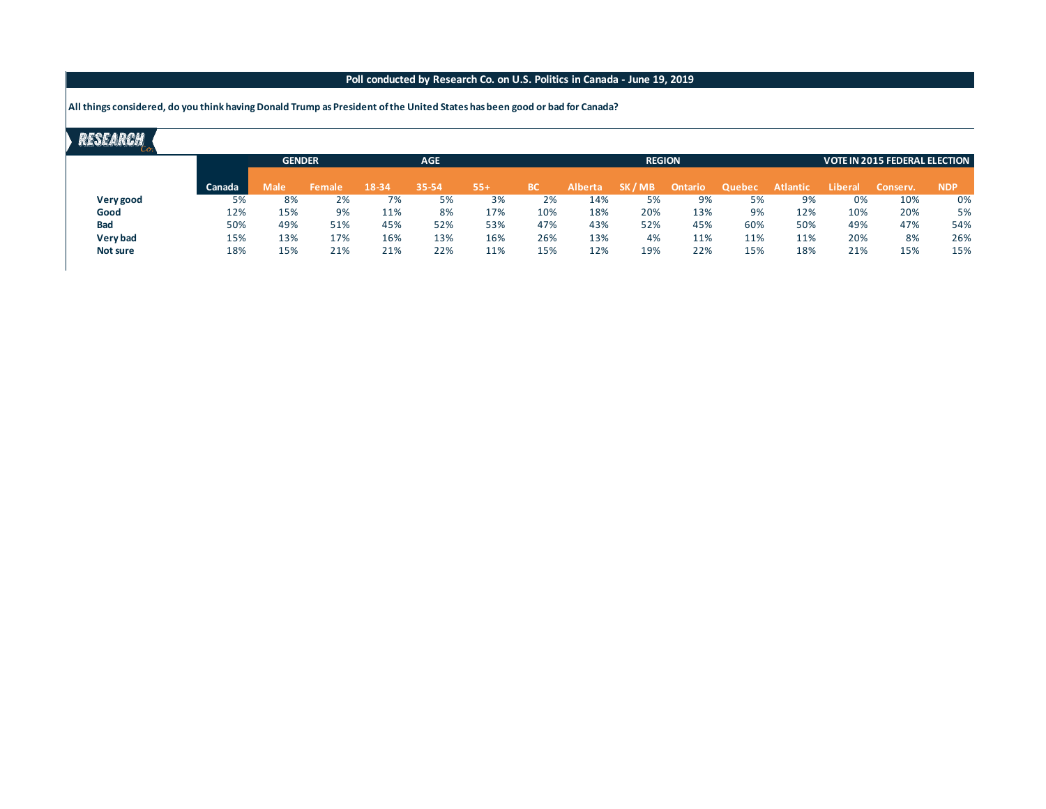**All things considered, do you think having Donald Trump as President of the United States has been good or bad for Canada?**

|                 |        | <b>GENDER</b> |        | <b>AGE</b> |       |       |     |                | <b>REGION</b> |         | <b>VOTE IN 2015 FEDERAL ELECTION</b> |          |                |          |            |
|-----------------|--------|---------------|--------|------------|-------|-------|-----|----------------|---------------|---------|--------------------------------------|----------|----------------|----------|------------|
|                 | Canada | Male          | Female | 18-34      | 35-54 | $55+$ | BС  | <b>Alberta</b> | SK / MB       | Ontario | Quebec                               | Atlantic | <b>Liberal</b> | Conserv. | <b>NDP</b> |
| Very good       | 5%     | 8%            | 2%     | 7%         | 5%    | 3%    | 2%  | 14%            | 5%            | 9%      | 5%                                   | 9%       | 0%             | 10%      | 0%         |
| Good            | 12%    | 15%           | 9%     | 11%        | 8%    | 17%   | 10% | 18%            | 20%           | 13%     | 9%                                   | 12%      | 10%            | 20%      | 5%         |
| <b>Bad</b>      | 50%    | 49%           | 51%    | 45%        | 52%   | 53%   | 47% | 43%            | 52%           | 45%     | 60%                                  | 50%      | 49%            | 47%      | 54%        |
| Very bad        | 15%    | 13%           | 17%    | 16%        | 13%   | 16%   | 26% | 13%            | 4%            | 11%     | 11%                                  | 11%      | 20%            | 8%       | 26%        |
| <b>Not sure</b> | 18%    | 15%           | 21%    | 21%        | 22%   | 11%   | 15% | 12%            | 19%           | 22%     | 15%                                  | 18%      | 21%            | 15%      | 15%        |